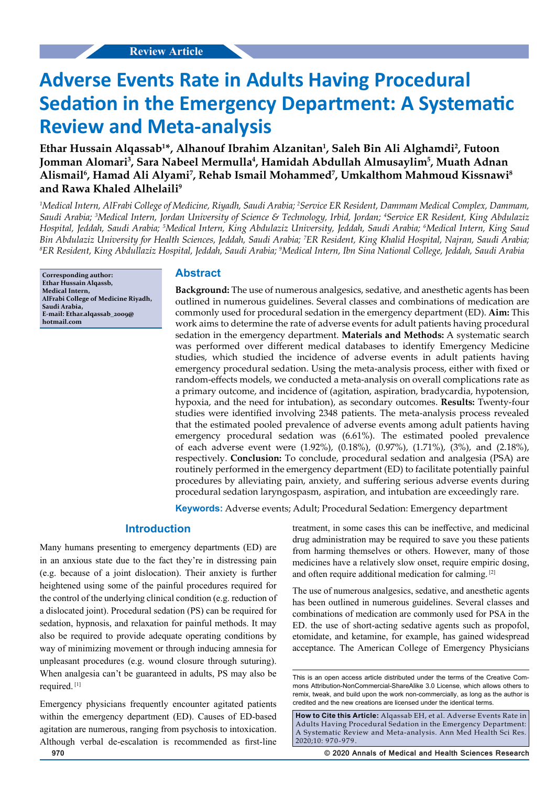# **Adverse Events Rate in Adults Having Procedural Sedation in the Emergency Department: A Systematic Review and Meta-analysis**

**Ethar Hussain Alqassab1 \*, Alhanouf Ibrahim Alzanitan1 , Saleh Bin Ali Alghamdi2 , Futoon**  Jomman Alomari<sup>3</sup>, Sara Nabeel Mermulla<sup>4</sup>, Hamidah Abdullah Almusaylim<sup>5</sup>, Muath Adnan **Alismail6 , Hamad Ali Alyami7 , Rehab Ismail Mohammed7 , Umkalthom Mahmoud Kissnawi8 and Rawa Khaled Alhelaili9**

<sup>1</sup>Medical Intern, AlFrabi College of Medicine, Riyadh, Saudi Arabia; <sup>2</sup>Service ER Resident, Dammam Medical Complex, Dammam, *Saudi Arabia; 3 Medical Intern, Jordan University of Science & Technology, Irbid, Jordan; 4 Service ER Resident, King Abdulaziz Hospital, Jeddah, Saudi Arabia; 5 Medical Intern, King Abdulaziz University, Jeddah, Saudi Arabia; 6 Medical Intern, King Saud*  Bin Abdulaziz University for Health Sciences, Jeddah, Saudi Arabia; <sup>7</sup>ER Resident, King Khalid Hospital, Najran, Saudi Arabia;<br><sup>8</sup>ER Resident, King Abdullaziz Hospital, Jeddah, Saudi Arabia; <sup>9</sup>Medical Intern, Ibn Sing Na *ER Resident, King Abdullaziz Hospital, Jeddah, Saudi Arabia; 9 Medical Intern, Ibn Sina National College, Jeddah, Saudi Arabia*

**Corresponding author: Ethar Hussain Alqassb, Medical Intern, AlFrabi College of Medicine Riyadh, Saudi Arabia, E-mail: Ethar.alqassab\_2009@ hotmail.com**

# **Abstract**

**Background:** The use of numerous analgesics, sedative, and anesthetic agents has been outlined in numerous guidelines. Several classes and combinations of medication are commonly used for procedural sedation in the emergency department (ED). **Aim:** This work aims to determine the rate of adverse events for adult patients having procedural sedation in the emergency department. **Materials and Methods:** A systematic search was performed over different medical databases to identify Emergency Medicine studies, which studied the incidence of adverse events in adult patients having emergency procedural sedation. Using the meta-analysis process, either with fixed or random-effects models, we conducted a meta-analysis on overall complications rate as a primary outcome, and incidence of (agitation, aspiration, bradycardia, hypotension, hypoxia, and the need for intubation), as secondary outcomes. **Results:** Twenty-four studies were identified involving 2348 patients. The meta-analysis process revealed that the estimated pooled prevalence of adverse events among adult patients having emergency procedural sedation was (6.61%). The estimated pooled prevalence of each adverse event were (1.92%), (0.18%), (0.97%), (1.71%), (3%), and (2.18%), respectively. **Conclusion:** To conclude, procedural sedation and analgesia (PSA) are routinely performed in the emergency department (ED) to facilitate potentially painful procedures by alleviating pain, anxiety, and suffering serious adverse events during procedural sedation laryngospasm, aspiration, and intubation are exceedingly rare.

**Keywords:** Adverse events; Adult; Procedural Sedation: Emergency department

# **Introduction**

Many humans presenting to emergency departments (ED) are in an anxious state due to the fact they're in distressing pain (e.g. because of a joint dislocation). Their anxiety is further heightened using some of the painful procedures required for the control of the underlying clinical condition (e.g. reduction of a dislocated joint). Procedural sedation (PS) can be required for sedation, hypnosis, and relaxation for painful methods. It may also be required to provide adequate operating conditions by way of minimizing movement or through inducing amnesia for unpleasant procedures (e.g. wound closure through suturing). When analgesia can't be guaranteed in adults, PS may also be required. [1]

Emergency physicians frequently encounter agitated patients within the emergency department (ED). Causes of ED-based agitation are numerous, ranging from psychosis to intoxication. Although verbal de-escalation is recommended as first-line treatment, in some cases this can be ineffective, and medicinal drug administration may be required to save you these patients from harming themselves or others. However, many of those medicines have a relatively slow onset, require empiric dosing, and often require additional medication for calming. [2]

The use of numerous analgesics, sedative, and anesthetic agents has been outlined in numerous guidelines. Several classes and combinations of medication are commonly used for PSA in the ED. the use of short-acting sedative agents such as propofol, etomidate, and ketamine, for example, has gained widespread acceptance. The American College of Emergency Physicians

**970 © 2020 Annals of Medical and Health Sciences Research** 

This is an open access article distributed under the terms of the Creative Commons Attribution‑NonCommercial‑ShareAlike 3.0 License, which allows others to remix, tweak, and build upon the work non‑commercially, as long as the author is credited and the new creations are licensed under the identical terms.

**How to Cite this Article:** Alqassab EH, et al. Adverse Events Rate in Adults Having Procedural Sedation in the Emergency Department: A Systematic Review and Meta-analysis. Ann Med Health Sci Res. 2020;10: 970-979.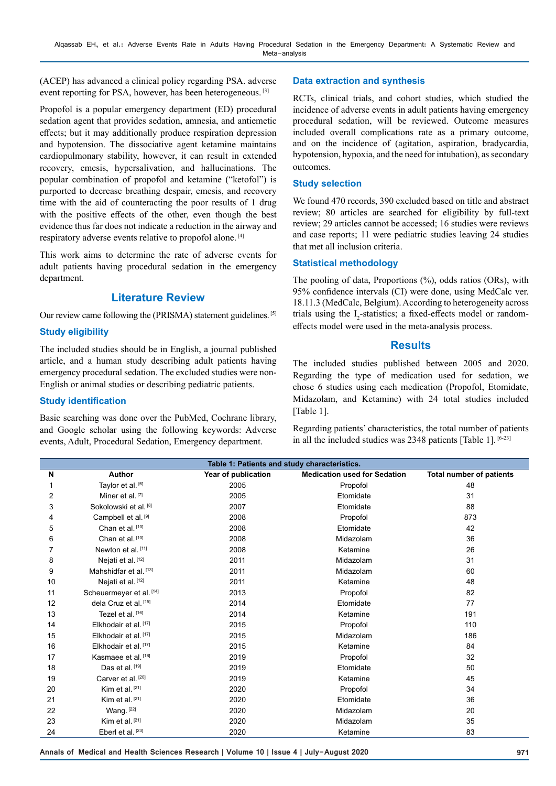(ACEP) has advanced a clinical policy regarding PSA. adverse event reporting for PSA, however, has been heterogeneous. [3]

Propofol is a popular emergency department (ED) procedural sedation agent that provides sedation, amnesia, and antiemetic effects; but it may additionally produce respiration depression and hypotension. The dissociative agent ketamine maintains cardiopulmonary stability, however, it can result in extended recovery, emesis, hypersalivation, and hallucinations. The popular combination of propofol and ketamine ("ketofol") is purported to decrease breathing despair, emesis, and recovery time with the aid of counteracting the poor results of 1 drug with the positive effects of the other, even though the best evidence thus far does not indicate a reduction in the airway and respiratory adverse events relative to propofol alone. [4]

This work aims to determine the rate of adverse events for adult patients having procedural sedation in the emergency department.

# **Literature Review**

Our review came following the (PRISMA) statement guidelines. [5]

## **Study eligibility**

The included studies should be in English, a journal published article, and a human study describing adult patients having emergency procedural sedation. The excluded studies were non-English or animal studies or describing pediatric patients.

#### **Study identification**

Basic searching was done over the PubMed, Cochrane library, and Google scholar using the following keywords: Adverse events, Adult, Procedural Sedation, Emergency department.

#### **Data extraction and synthesis**

RCTs, clinical trials, and cohort studies, which studied the incidence of adverse events in adult patients having emergency procedural sedation, will be reviewed. Outcome measures included overall complications rate as a primary outcome, and on the incidence of (agitation, aspiration, bradycardia, hypotension, hypoxia, and the need for intubation), as secondary outcomes.

#### **Study selection**

We found 470 records, 390 excluded based on title and abstract review; 80 articles are searched for eligibility by full-text review; 29 articles cannot be accessed; 16 studies were reviews and case reports; 11 were pediatric studies leaving 24 studies that met all inclusion criteria.

#### **Statistical methodology**

The pooling of data, Proportions (%), odds ratios (ORs), with 95% confidence intervals (CI) were done, using MedCalc ver. 18.11.3 (MedCalc, Belgium). According to heterogeneity across trials using the  $I_2$ -statistics; a fixed-effects model or randomeffects model were used in the meta-analysis process.

#### **Results**

The included studies published between 2005 and 2020. Regarding the type of medication used for sedation, we chose 6 studies using each medication (Propofol, Etomidate, Midazolam, and Ketamine) with 24 total studies included [Table 1].

Regarding patients' characteristics, the total number of patients in all the included studies was 2348 patients [Table 1]. [6-23]

| Table 1: Patients and study characteristics. |                                  |                     |                                     |                                 |  |  |  |  |  |  |  |
|----------------------------------------------|----------------------------------|---------------------|-------------------------------------|---------------------------------|--|--|--|--|--|--|--|
| N                                            | Author                           | Year of publication | <b>Medication used for Sedation</b> | <b>Total number of patients</b> |  |  |  |  |  |  |  |
|                                              | Taylor et al. [6]                | 2005                | Propofol                            | 48                              |  |  |  |  |  |  |  |
| 2                                            | Miner et al. [7]                 | 2005                | Etomidate                           | 31                              |  |  |  |  |  |  |  |
| 3                                            | Sokolowski et al. [8]            | 2007                | Etomidate                           | 88                              |  |  |  |  |  |  |  |
| 4                                            | Campbell et al. [9]              | 2008                | Propofol                            | 873                             |  |  |  |  |  |  |  |
| 5                                            | Chan et al. [10]                 | 2008                | Etomidate                           | 42                              |  |  |  |  |  |  |  |
| 6                                            | Chan et al. [10]                 | 2008                | Midazolam                           | 36                              |  |  |  |  |  |  |  |
|                                              | Newton et al. [11]               | 2008                | Ketamine                            | 26                              |  |  |  |  |  |  |  |
| 8                                            | Nejati et al. [12]               | 2011                | Midazolam                           | 31                              |  |  |  |  |  |  |  |
| 9                                            | Mahshidfar et al. [13]           | 2011                | Midazolam                           | 60                              |  |  |  |  |  |  |  |
| 10                                           | Nejati et al. [12]               | 2011                | Ketamine                            | 48                              |  |  |  |  |  |  |  |
| 11                                           | Scheuermeyer et al. [14]         | 2013                | Propofol                            | 82                              |  |  |  |  |  |  |  |
| 12                                           | dela Cruz et al. [15]            | 2014                | Etomidate                           | 77                              |  |  |  |  |  |  |  |
| 13                                           | Tezel et al. [16]                | 2014                | Ketamine                            | 191                             |  |  |  |  |  |  |  |
| 14                                           | Elkhodair et al. [17]            | 2015                | Propofol                            | 110                             |  |  |  |  |  |  |  |
| 15                                           | Elkhodair et al. <sup>[17]</sup> | 2015                | Midazolam                           | 186                             |  |  |  |  |  |  |  |
| 16                                           | Elkhodair et al. [17]            | 2015                | Ketamine                            | 84                              |  |  |  |  |  |  |  |
| 17                                           | Kasmaee et al. [18]              | 2019                | Propofol                            | 32                              |  |  |  |  |  |  |  |
| 18                                           | Das et al. [19]                  | 2019                | Etomidate                           | 50                              |  |  |  |  |  |  |  |
| 19                                           | Carver et al. <sup>[20]</sup>    | 2019                | Ketamine                            | 45                              |  |  |  |  |  |  |  |
| 20                                           | Kim et al. $[21]$                | 2020                | Propofol                            | 34                              |  |  |  |  |  |  |  |
| 21                                           | Kim et al. $[21]$                | 2020                | Etomidate                           | 36                              |  |  |  |  |  |  |  |
| 22                                           | Wang. $[22]$                     | 2020                | Midazolam                           | 20                              |  |  |  |  |  |  |  |
| 23                                           | Kim et al. [21]                  | 2020                | Midazolam                           | 35                              |  |  |  |  |  |  |  |
| 24                                           | Eberl et al. [23]                | 2020                | Ketamine                            | 83                              |  |  |  |  |  |  |  |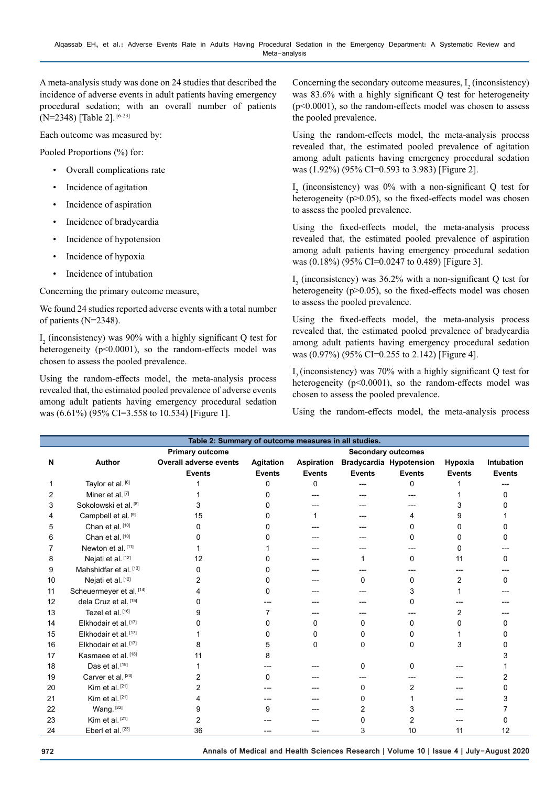A meta-analysis study was done on 24 studies that described the incidence of adverse events in adult patients having emergency procedural sedation; with an overall number of patients (N=2348) [Table 2]. [6-23]

Each outcome was measured by:

Pooled Proportions (%) for:

- Overall complications rate
- Incidence of agitation
- Incidence of aspiration
- Incidence of bradycardia
- Incidence of hypotension
- Incidence of hypoxia
- Incidence of intubation

Concerning the primary outcome measure,

We found 24 studies reported adverse events with a total number of patients (N=2348).

 $I_2$  (inconsistency) was 90% with a highly significant Q test for heterogeneity (p<0.0001), so the random-effects model was chosen to assess the pooled prevalence.

Using the random-effects model, the meta-analysis process revealed that, the estimated pooled prevalence of adverse events among adult patients having emergency procedural sedation was (6.61%) (95% CI=3.558 to 10.534) [Figure 1].

Concerning the secondary outcome measures,  $I_2$  (inconsistency) was 83.6% with a highly significant Q test for heterogeneity (p<0.0001), so the random-effects model was chosen to assess the pooled prevalence.

Using the random-effects model, the meta-analysis process revealed that, the estimated pooled prevalence of agitation among adult patients having emergency procedural sedation was (1.92%) (95% CI=0.593 to 3.983) [Figure 2].

 $I_2$  (inconsistency) was 0% with a non-significant Q test for heterogeneity (p>0.05), so the fixed-effects model was chosen to assess the pooled prevalence.

Using the fixed-effects model, the meta-analysis process revealed that, the estimated pooled prevalence of aspiration among adult patients having emergency procedural sedation was (0.18%) (95% CI=0.0247 to 0.489) [Figure 3].

 $I_2$  (inconsistency) was 36.2% with a non-significant Q test for heterogeneity (p>0.05), so the fixed-effects model was chosen to assess the pooled prevalence.

Using the fixed-effects model, the meta-analysis process revealed that, the estimated pooled prevalence of bradycardia among adult patients having emergency procedural sedation was (0.97%) (95% CI=0.255 to 2.142) [Figure 4].

 $I<sub>2</sub>$  (inconsistency) was 70% with a highly significant Q test for heterogeneity (p<0.0001), so the random-effects model was chosen to assess the pooled prevalence.

Using the random-effects model, the meta-analysis process

| Table 2: Summary of outcome measures in all studies. |                                |                                                     |                  |               |               |                                    |               |                   |  |  |
|------------------------------------------------------|--------------------------------|-----------------------------------------------------|------------------|---------------|---------------|------------------------------------|---------------|-------------------|--|--|
|                                                      |                                | <b>Primary outcome</b><br><b>Secondary outcomes</b> |                  |               |               |                                    |               |                   |  |  |
| N                                                    | <b>Author</b>                  | Overall adverse events                              | <b>Agitation</b> |               |               | Aspiration Bradycardia Hypotension | Hypoxia       | <b>Intubation</b> |  |  |
|                                                      |                                | <b>Events</b>                                       | <b>Events</b>    | <b>Events</b> | <b>Events</b> | <b>Events</b>                      | <b>Events</b> | <b>Events</b>     |  |  |
|                                                      | Taylor et al. [6]              |                                                     | $\Omega$         | 0             |               | 0                                  |               |                   |  |  |
| 2                                                    | Miner et al. [7]               |                                                     | 0                |               |               |                                    |               | 0                 |  |  |
| 3                                                    | Sokolowski et al. [8]          | 3                                                   | o                |               |               |                                    |               |                   |  |  |
| 4                                                    | Campbell et al. <sup>[9]</sup> | 15                                                  |                  |               |               | 4                                  | 9             |                   |  |  |
| 5                                                    | Chan et al. [10]               | 0                                                   |                  |               |               | 0                                  | 0             | 0                 |  |  |
| 6                                                    | Chan et al. [10]               |                                                     |                  |               |               | 0                                  | 0             | 0                 |  |  |
|                                                      | Newton et al. [11]             |                                                     |                  |               |               |                                    | 0             |                   |  |  |
| 8                                                    | Nejati et al. [12]             | 12                                                  |                  |               |               | 0                                  | 11            | 0                 |  |  |
| 9                                                    | Mahshidfar et al. [13]         | O                                                   |                  |               |               |                                    |               |                   |  |  |
| 10                                                   | Nejati et al. [12]             | 2                                                   |                  |               | 0             | 0                                  | 2             | 0                 |  |  |
| 11                                                   | Scheuermeyer et al. [14]       | 4                                                   |                  |               |               | 3                                  |               |                   |  |  |
| 12                                                   | dela Cruz et al. [15]          | 0                                                   |                  |               |               | 0                                  |               |                   |  |  |
| 13                                                   | Tezel et al. [16]              | 9                                                   |                  |               |               |                                    | 2             |                   |  |  |
| 14                                                   | Elkhodair et al. [17]          |                                                     | <sup>0</sup>     | 0             | 0             | 0                                  | 0             | U                 |  |  |
| 15                                                   | Elkhodair et al. [17]          |                                                     | 0                | 0             | 0             | 0                                  |               | O                 |  |  |
| 16                                                   | Elkhodair et al. [17]          | 8                                                   | 5                | 0             | $\Omega$      | 0                                  | 3             | n                 |  |  |
| 17                                                   | Kasmaee et al. [18]            | 11                                                  |                  |               |               |                                    |               |                   |  |  |
| 18                                                   | Das et al. [19]                |                                                     |                  |               | 0             | 0                                  |               |                   |  |  |
| 19                                                   | Carver et al. [20]             |                                                     | 0                |               |               |                                    |               |                   |  |  |
| 20                                                   | Kim et al. [21]                |                                                     |                  |               | 0             | 2                                  |               | n                 |  |  |
| 21                                                   | Kim et al. $[21]$              | 4                                                   |                  |               | 0             |                                    |               | 3                 |  |  |
| 22                                                   | Wang. [22]                     | 9                                                   | 9                |               | 2             | 3                                  |               |                   |  |  |
| 23                                                   | Kim et al. [21]                | 2                                                   |                  |               | 0             | 2                                  |               | U                 |  |  |
| 24                                                   | Eberl et al. [23]              | 36                                                  |                  |               | 3             | 10                                 | 11            | 12                |  |  |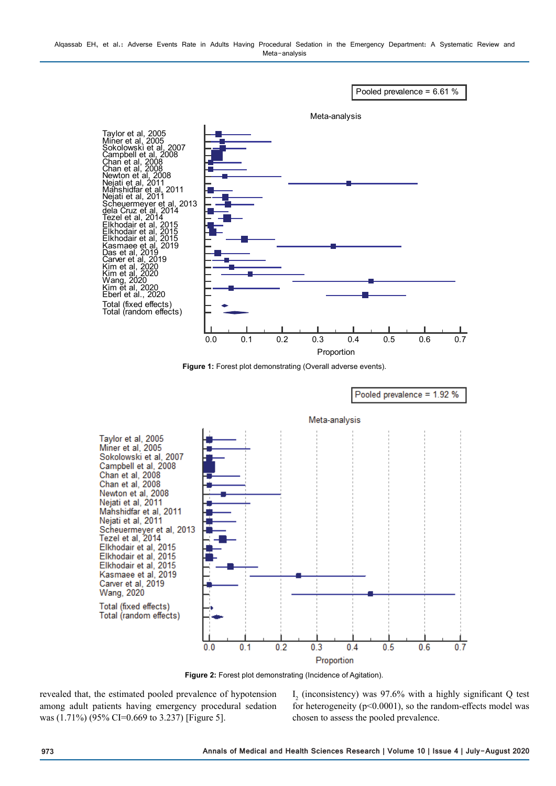Alqassab EH, et al.: Adverse Events Rate in Adults Having Procedural Sedation in the Emergency Department: A Systematic Review and Meta-analysis



**Figure 1:** Forest plot demonstrating (Overall adverse events).



**Figure 2:** Forest plot demonstrating (Incidence of Agitation).

revealed that, the estimated pooled prevalence of hypotension among adult patients having emergency procedural sedation was (1.71%) (95% CI=0.669 to 3.237) [Figure 5].

 $I_2$  (inconsistency) was 97.6% with a highly significant Q test for heterogeneity ( $p<0.0001$ ), so the random-effects model was chosen to assess the pooled prevalence.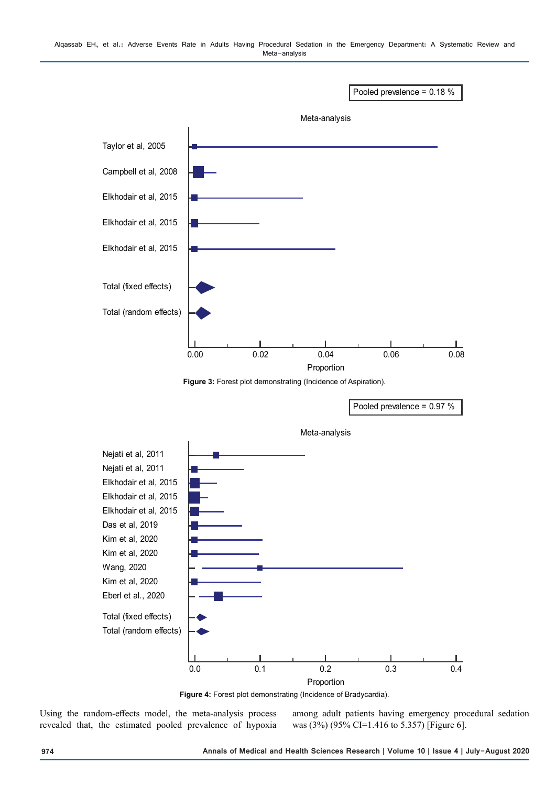



0.0 0.1 0.2 0.3 0.4 Proportion

**Figure 4:** Forest plot demonstrating (Incidence of Bradycardia).

Using the random-effects model, the meta-analysis process revealed that, the estimated pooled prevalence of hypoxia

Total (fixed effects) Total (random effects)

> among adult patients having emergency procedural sedation was (3%) (95% CI=1.416 to 5.357) [Figure 6].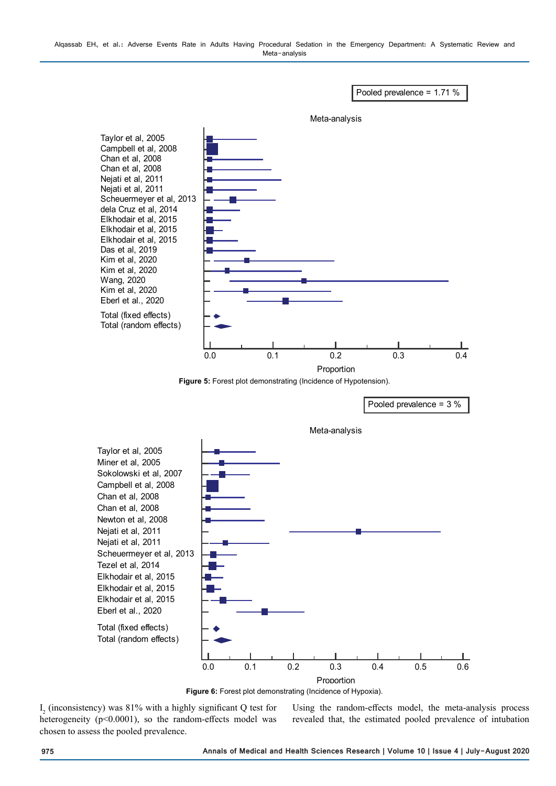Alqassab EH, et al.: Adverse Events Rate in Adults Having Procedural Sedation in the Emergency Department: A Systematic Review and Meta-analysis





**Figure 6:** Forest plot demonstrating (Incidence of Hypoxia).

 $I_2$  (inconsistency) was 81% with a highly significant Q test for heterogeneity (p<0.0001), so the random-effects model was chosen to assess the pooled prevalence.

Using the random-effects model, the meta-analysis process revealed that, the estimated pooled prevalence of intubation

Pooled prevalence = 1.71 %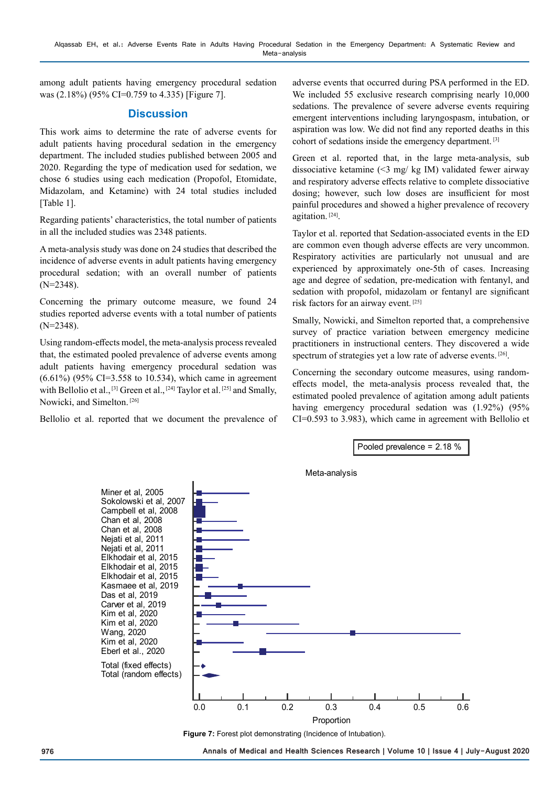among adult patients having emergency procedural sedation was (2.18%) (95% CI=0.759 to 4.335) [Figure 7].

# **Discussion**

This work aims to determine the rate of adverse events for adult patients having procedural sedation in the emergency department. The included studies published between 2005 and 2020. Regarding the type of medication used for sedation, we chose 6 studies using each medication (Propofol, Etomidate, Midazolam, and Ketamine) with 24 total studies included [Table 1].

Regarding patients' characteristics, the total number of patients in all the included studies was 2348 patients.

A meta-analysis study was done on 24 studies that described the incidence of adverse events in adult patients having emergency procedural sedation; with an overall number of patients (N=2348).

Concerning the primary outcome measure, we found 24 studies reported adverse events with a total number of patients (N=2348).

Using random-effects model, the meta-analysis process revealed that, the estimated pooled prevalence of adverse events among adult patients having emergency procedural sedation was (6.61%) (95% CI=3.558 to 10.534), which came in agreement with Bellolio et al., <sup>[3]</sup> Green et al., <sup>[24]</sup> Taylor et al. <sup>[25]</sup> and Smally, Nowicki, and Simelton. [26]

Bellolio et al. reported that we document the prevalence of

adverse events that occurred during PSA performed in the ED. We included 55 exclusive research comprising nearly 10,000 sedations. The prevalence of severe adverse events requiring emergent interventions including laryngospasm, intubation, or aspiration was low. We did not find any reported deaths in this cohort of sedations inside the emergency department. [3]

Green et al. reported that, in the large meta-analysis, sub dissociative ketamine (<3 mg/ kg IM) validated fewer airway and respiratory adverse effects relative to complete dissociative dosing; however, such low doses are insufficient for most painful procedures and showed a higher prevalence of recovery agitation. [24].

Taylor et al. reported that Sedation-associated events in the ED are common even though adverse effects are very uncommon. Respiratory activities are particularly not unusual and are experienced by approximately one-5th of cases. Increasing age and degree of sedation, pre-medication with fentanyl, and sedation with propofol, midazolam or fentanyl are significant risk factors for an airway event. [25]

Smally, Nowicki, and Simelton reported that, a comprehensive survey of practice variation between emergency medicine practitioners in instructional centers. They discovered a wide spectrum of strategies yet a low rate of adverse events. [26].

Concerning the secondary outcome measures, using randomeffects model, the meta-analysis process revealed that, the estimated pooled prevalence of agitation among adult patients having emergency procedural sedation was (1.92%) (95% CI=0.593 to 3.983), which came in agreement with Bellolio et



**Figure 7:** Forest plot demonstrating (Incidence of Intubation).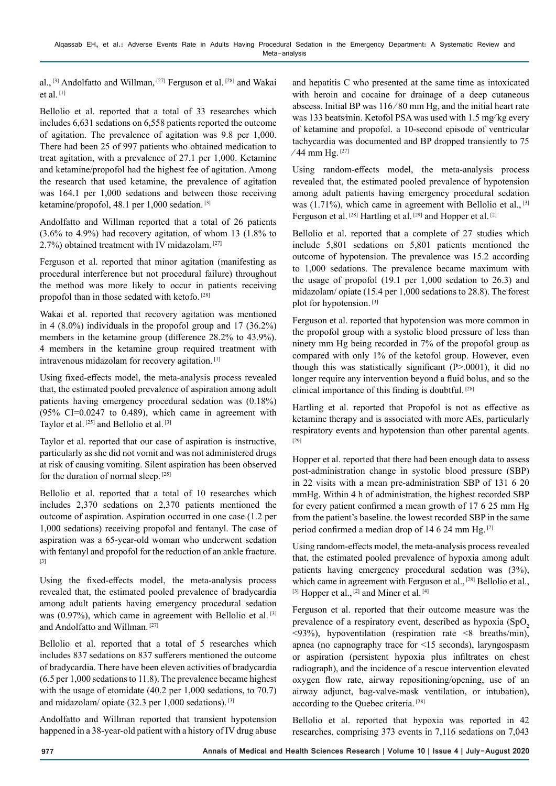al., [3] Andolfatto and Willman, [27] Ferguson et al. [28] and Wakai et al. [1]

Bellolio et al. reported that a total of 33 researches which includes 6,631 sedations on 6,558 patients reported the outcome of agitation. The prevalence of agitation was 9.8 per 1,000. There had been 25 of 997 patients who obtained medication to treat agitation, with a prevalence of 27.1 per 1,000. Ketamine and ketamine/propofol had the highest fee of agitation. Among the research that used ketamine, the prevalence of agitation was 164.1 per 1,000 sedations and between those receiving ketamine/propofol, 48.1 per 1,000 sedation. [3]

Andolfatto and Willman reported that a total of 26 patients (3.6% to 4.9%) had recovery agitation, of whom 13 (1.8% to 2.7%) obtained treatment with IV midazolam. [27]

Ferguson et al. reported that minor agitation (manifesting as procedural interference but not procedural failure) throughout the method was more likely to occur in patients receiving propofol than in those sedated with ketofo. [28]

Wakai et al. reported that recovery agitation was mentioned in 4 (8.0%) individuals in the propofol group and 17 (36.2%) members in the ketamine group (difference 28.2% to 43.9%). 4 members in the ketamine group required treatment with intravenous midazolam for recovery agitation. [1]

Using fixed-effects model, the meta-analysis process revealed that, the estimated pooled prevalence of aspiration among adult patients having emergency procedural sedation was (0.18%)  $(95\% \text{ CI} = 0.0247 \text{ to } 0.489)$ , which came in agreement with Taylor et al.<sup>[25]</sup> and Bellolio et al.<sup>[3]</sup>

Taylor et al. reported that our case of aspiration is instructive, particularly as she did not vomit and was not administered drugs at risk of causing vomiting. Silent aspiration has been observed for the duration of normal sleep. [25]

Bellolio et al. reported that a total of 10 researches which includes 2,370 sedations on 2,370 patients mentioned the outcome of aspiration. Aspiration occurred in one case (1.2 per 1,000 sedations) receiving propofol and fentanyl. The case of aspiration was a 65-year-old woman who underwent sedation with fentanyl and propofol for the reduction of an ankle fracture. [3]

Using the fixed-effects model, the meta-analysis process revealed that, the estimated pooled prevalence of bradycardia among adult patients having emergency procedural sedation was  $(0.97\%)$ , which came in agreement with Bellolio et al. [3] and Andolfatto and Willman. [27]

Bellolio et al. reported that a total of 5 researches which includes 837 sedations on 837 sufferers mentioned the outcome of bradycardia. There have been eleven activities of bradycardia (6.5 per 1,000 sedations to 11.8). The prevalence became highest with the usage of etomidate (40.2 per 1,000 sedations, to 70.7) and midazolam/ opiate  $(32.3 \text{ per } 1,000 \text{~sedations}).$  [3]

Andolfatto and Willman reported that transient hypotension happened in a 38-year-old patient with a history of IV drug abuse

and hepatitis C who presented at the same time as intoxicated with heroin and cocaine for drainage of a deep cutaneous abscess. Initial BP was 116 ⁄ 80 mm Hg, and the initial heart rate was 133 beats⁄min. Ketofol PSA was used with 1.5 mg⁄ kg every of ketamine and propofol. a 10-second episode of ventricular tachycardia was documented and BP dropped transiently to 75 ⁄ 44 mm Hg. [27]

Using random-effects model, the meta-analysis process revealed that, the estimated pooled prevalence of hypotension among adult patients having emergency procedural sedation was  $(1.71\%)$ , which came in agreement with Bellolio et al., <sup>[3]</sup> Ferguson et al. <sup>[28]</sup> Hartling et al. <sup>[29]</sup> and Hopper et al. <sup>[2]</sup>

Bellolio et al. reported that a complete of 27 studies which include 5,801 sedations on 5,801 patients mentioned the outcome of hypotension. The prevalence was 15.2 according to 1,000 sedations. The prevalence became maximum with the usage of propofol (19.1 per 1,000 sedation to 26.3) and midazolam/ opiate (15.4 per 1,000 sedations to 28.8). The forest plot for hypotension. [3]

Ferguson et al. reported that hypotension was more common in the propofol group with a systolic blood pressure of less than ninety mm Hg being recorded in 7% of the propofol group as compared with only 1% of the ketofol group. However, even though this was statistically significant (P>.0001), it did no longer require any intervention beyond a fluid bolus, and so the clinical importance of this finding is doubtful. [28]

Hartling et al. reported that Propofol is not as effective as ketamine therapy and is associated with more AEs, particularly respiratory events and hypotension than other parental agents. [29]

Hopper et al. reported that there had been enough data to assess post-administration change in systolic blood pressure (SBP) in 22 visits with a mean pre-administration SBP of 131 6 20 mmHg. Within 4 h of administration, the highest recorded SBP for every patient confirmed a mean growth of 17 6 25 mm Hg from the patient's baseline. the lowest recorded SBP in the same period confirmed a median drop of 14 6 24 mm Hg. [2]

Using random-effects model, the meta-analysis process revealed that, the estimated pooled prevalence of hypoxia among adult patients having emergency procedural sedation was (3%), which came in agreement with Ferguson et al., [28] Bellolio et al., [3] Hopper et al., [2] and Miner et al. [4]

Ferguson et al. reported that their outcome measure was the prevalence of a respiratory event, described as hypoxia  $(SpO<sub>2</sub>)$  $\langle 93\%$ ), hypoventilation (respiration rate  $\langle 8 \rangle$  breaths/min), apnea (no capnography trace for <15 seconds), laryngospasm or aspiration (persistent hypoxia plus infiltrates on chest radiograph), and the incidence of a rescue intervention elevated oxygen flow rate, airway repositioning/opening, use of an airway adjunct, bag-valve-mask ventilation, or intubation), according to the Quebec criteria. [28]

Bellolio et al. reported that hypoxia was reported in 42 researches, comprising 373 events in 7,116 sedations on 7,043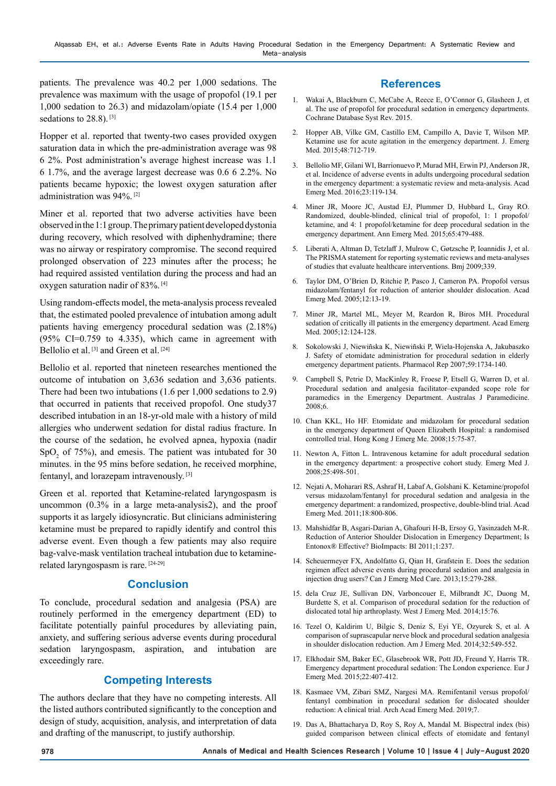patients. The prevalence was 40.2 per 1,000 sedations. The prevalence was maximum with the usage of propofol (19.1 per 1,000 sedation to 26.3) and midazolam/opiate (15.4 per 1,000 sedations to 28.8).<sup>[3]</sup>

Hopper et al. reported that twenty-two cases provided oxygen saturation data in which the pre-administration average was 98 6 2%. Post administration's average highest increase was 1.1 6 1.7%, and the average largest decrease was 0.6 6 2.2%. No patients became hypoxic; the lowest oxygen saturation after administration was 94%. [2]

Miner et al. reported that two adverse activities have been observed in the 1:1 group. The primary patient developed dystonia during recovery, which resolved with diphenhydramine; there was no airway or respiratory compromise. The second required prolonged observation of 223 minutes after the process; he had required assisted ventilation during the process and had an oxygen saturation nadir of 83%. [4]

Using random-effects model, the meta-analysis process revealed that, the estimated pooled prevalence of intubation among adult patients having emergency procedural sedation was (2.18%)  $(95\% \text{ CI} = 0.759 \text{ to } 4.335)$ , which came in agreement with Bellolio et al.  $[3]$  and Green et al.  $[24]$ 

Bellolio et al. reported that nineteen researches mentioned the outcome of intubation on 3,636 sedation and 3,636 patients. There had been two intubations (1.6 per 1,000 sedations to 2.9) that occurred in patients that received propofol. One study37 described intubation in an 18-yr-old male with a history of mild allergies who underwent sedation for distal radius fracture. In the course of the sedation, he evolved apnea, hypoxia (nadir  $SpO<sub>2</sub>$  of 75%), and emesis. The patient was intubated for 30 minutes. in the 95 mins before sedation, he received morphine, fentanyl, and lorazepam intravenously. [3]

Green et al. reported that Ketamine-related laryngospasm is uncommon (0.3% in a large meta-analysis2), and the proof supports it as largely idiosyncratic. But clinicians administering ketamine must be prepared to rapidly identify and control this adverse event. Even though a few patients may also require bag-valve-mask ventilation tracheal intubation due to ketaminerelated laryngospasm is rare. [24-29]

## **Conclusion**

To conclude, procedural sedation and analgesia (PSA) are routinely performed in the emergency department (ED) to facilitate potentially painful procedures by alleviating pain, anxiety, and suffering serious adverse events during procedural sedation laryngospasm, aspiration, and intubation are exceedingly rare.

# **Competing Interests**

The authors declare that they have no competing interests. All the listed authors contributed significantly to the conception and design of study, acquisition, analysis, and interpretation of data and drafting of the manuscript, to justify authorship.

# **References**

- 1. Wakai A, Blackburn C, McCabe A, Reece E, O'Connor G, Glasheen J, et al. The use of propofol for procedural sedation in emergency departments. Cochrane Database Syst Rev. 2015.
- 2. Hopper AB, Vilke GM, Castillo EM, Campillo A, Davie T, Wilson MP. Ketamine use for acute agitation in the emergency department. J. Emerg Med. 2015;48:712-719.
- 3. Bellolio MF, Gilani WI, Barrionuevo P, Murad MH, Erwin PJ, Anderson JR, et al. Incidence of adverse events in adults undergoing procedural sedation in the emergency department: a systematic review and meta-analysis. Acad Emerg Med. 2016;23:119-134.
- 4. Miner JR, Moore JC, Austad EJ, Plummer D, Hubbard L, Gray RO. Randomized, double-blinded, clinical trial of propofol, 1: 1 propofol/ ketamine, and 4: 1 propofol/ketamine for deep procedural sedation in the emergency department. Ann Emerg Med. 2015;65:479-488.
- 5. Liberati A, Altman D, Tetzlaff J, Mulrow C, Gøtzsche P, Ioannidis J, et al. The PRISMA statement for reporting systematic reviews and meta-analyses of studies that evaluate healthcare interventions. Bmj 2009;339.
- 6. Taylor DM, O'Brien D, Ritchie P, Pasco J, Cameron PA. Propofol versus midazolam/fentanyl for reduction of anterior shoulder dislocation. Acad Emerg Med. 2005;12:13-19.
- 7. Miner JR, Martel ML, Meyer M, Reardon R, Biros MH. Procedural sedation of critically ill patients in the emergency department. Acad Emerg Med. 2005;12:124-128.
- 8. Sokolowski J, Niewiñska K, Niewiñski P, Wiela-Hojenska A, Jakubaszko J. Safety of etomidate administration for procedural sedation in elderly emergency department patients. Pharmacol Rep 2007;59:1734-140.
- 9. Campbell S, Petrie D, MacKinley R, Froese P, Etsell G, Warren D, et al. Procedural sedation and analgesia facilitator–expanded scope role for paramedics in the Emergency Department. Australas J Paramedicine. 2008;6.
- 10. Chan KKL, Ho HF. Etomidate and midazolam for procedural sedation in the emergency department of Queen Elizabeth Hospital: a randomised controlled trial. Hong Kong J Emerg Me. 2008;15:75-87.
- 11. Newton A, Fitton L. Intravenous ketamine for adult procedural sedation in the emergency department: a prospective cohort study. Emerg Med J. 2008;25:498-501.
- 12. Nejati A, Moharari RS, Ashraf H, Labaf A, Golshani K. Ketamine/propofol versus midazolam/fentanyl for procedural sedation and analgesia in the emergency department: a randomized, prospective, double-blind trial. Acad Emerg Med. 2011;18:800-806.
- 13. Mahshidfar B, Asgari-Darian A, Ghafouri H-B, Ersoy G, Yasinzadeh M-R. Reduction of Anterior Shoulder Dislocation in Emergency Department; Is Entonox® Effective? BioImpacts: BI 2011;1:237.
- 14. Scheuermeyer FX, Andolfatto G, Qian H, Grafstein E. Does the sedation regimen affect adverse events during procedural sedation and analgesia in injection drug users? Can J Emerg Med Care. 2013;15:279-288.
- 15. dela Cruz JE, Sullivan DN, Varboncouer E, Milbrandt JC, Duong M, Burdette S, et al. Comparison of procedural sedation for the reduction of dislocated total hip arthroplasty. West J Emerg Med. 2014;15:76.
- 16. Tezel O, Kaldirim U, Bilgic S, Deniz S, Eyi YE, Ozyurek S, et al. A comparison of suprascapular nerve block and procedural sedation analgesia in shoulder dislocation reduction. Am J Emerg Med. 2014;32:549-552.
- 17. Elkhodair SM, Baker EC, Glasebrook WR, Pott JD, Freund Y, Harris TR. Emergency department procedural sedation: The London experience. Eur J Emerg Med. 2015;22:407-412.
- 18. Kasmaee VM, Zibari SMZ, Nargesi MA. Remifentanil versus propofol/ fentanyl combination in procedural sedation for dislocated shoulder reduction: A clinical trial. Arch Acad Emerg Med. 2019;7.
- 19. Das A, Bhattacharya D, Roy S, Roy A, Mandal M. Bispectral index (bis) guided comparison between clinical effects of etomidate and fentanyl